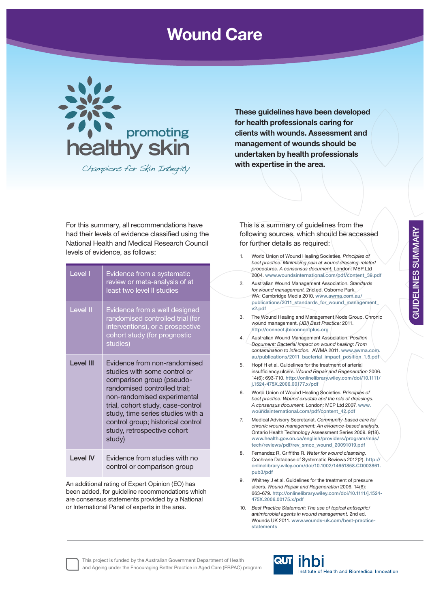## **Wound Care**



Champions for Skin Integrity

**These guidelines have been developed for health professionals caring for clients with wounds. Assessment and management of wounds should be undertaken by health professionals with expertise in the area.**

For this summary, all recommendations have had their levels of evidence classified using the National Health and Medical Research Council levels of evidence, as follows:

| <b>Level I</b>  | Evidence from a systematic<br>review or meta-analysis of at<br>least two level II studies                                                                                                                                                                                                                        |
|-----------------|------------------------------------------------------------------------------------------------------------------------------------------------------------------------------------------------------------------------------------------------------------------------------------------------------------------|
| <b>Level II</b> | Evidence from a well designed<br>randomised controlled trial (for<br>interventions), or a prospective<br>cohort study (for prognostic<br>studies)                                                                                                                                                                |
| I evel III      | Evidence from non-randomised<br>studies with some control or<br>comparison group (pseudo-<br>randomised controlled trial;<br>non-randomised experimental<br>trial, cohort study, case-control<br>study, time series studies with a<br>control group; historical control<br>study, retrospective cohort<br>study) |
| <b>Level IV</b> | Evidence from studies with no<br>control or comparison group                                                                                                                                                                                                                                                     |

An additional rating of Expert Opinion (EO) has been added, for guideline recommendations which are consensus statements provided by a National or International Panel of experts in the area.

This is a summary of guidelines from the following sources, which should be accessed for further details as required:

- 1. World Union of Wound Healing Societies. *Principles of best practice: Minimising pain at wound dressing-related procedures. A consensus document.* London: MEP Ltd 2004. **www.woundsinternational.com/pdf/content\_39.pdf** 2. Australian Wound Management Association. *Standards for wound management.* 2nd ed. Osborne Park, WA: Cambridge Media 2010. **www.awma.com.au/ publications/2011\_standards\_for\_wound\_management\_ v2.pdf** 3. The Wound Healing and Management Node Group. Chronic wound management. *(JBI) Best Practice:* 2011. **http://connect.jbiconnectplus.org** 4. Australian Wound Management Association. *Position Document: Bacterial impact on wound healing: From contamination to infection.* AWMA 2011. **www.awma.com. au/publications/2011\_bacterial\_impact\_position\_1.5.pdf** 5. Hopf H et al. Guidelines for the treatment of arterial insuffi ciency ulcers. *Wound Repair and Regeneration* 2006. 14(6): 693-710. **http://onlinelibrary.wiley.com/doi/10.1111/ j.1524-475X.2006.00177.x/pdf** 6. World Union of Wound Healing Societies. *Principles of best practice: Wound exudate and the role of dressings. A consensus document*. London: MEP Ltd 2007. **www. woundsinternational.com/pdf/content\_42.pdf** 7. Medical Advisory Secretariat. *Community-based care for chronic wound management: An evidence-based analysis*. Ontario Health Technology Assessment Series 2009. 9(18). **www.health.gov.on.ca/english/providers/program/mas/ tech/reviews/pdf/rev\_smcc\_wound\_20091019.pdf** 8. Fernandez R, Griffiths R. Water for wound cleansing. Cochrane Database of Systematic Reviews 2012(2). **http:// onlinelibrary.wiley.com/doi/10.1002/14651858.CD003861. pub3/pdf**
	- 9. Whitney J et al. Guidelines for the treatment of pressure ulcers. *Wound Repair and Regeneration* 2006. 14(6): 663-679. **http://onlinelibrary.wiley.com/doi/10.1111/j.1524- 475X.2006.00175.x/pdf**
	- 10. *Best Practice Statement: The use of topical antiseptic/ antimicrobial agents in wound management.* 2nd ed. Wounds UK 2011. **www.wounds-uk.com/best-practicestatements**

This project is funded by the Australian Government Department of Health and Ageing under the Encouraging Better Practice in Aged Care (EBPAC) program

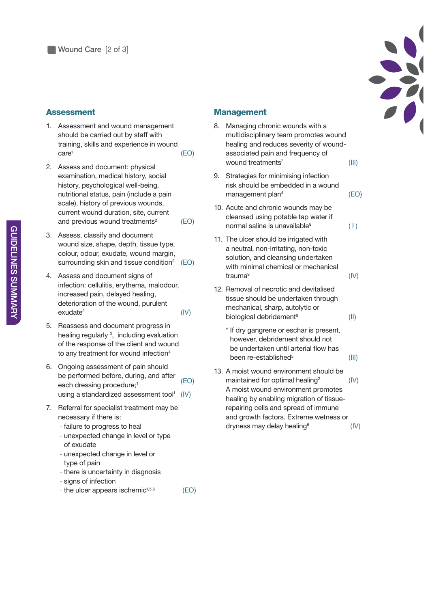

## **Assessment**

- 1. Assessment and wound management should be carried out by staff with training, skills and experience in wound care1 (EO)
- 2. Assess and document: physical examination, medical history, social history, psychological well-being, nutritional status, pain (include a pain scale), history of previous wounds, current wound duration, site, current and previous wound treatments<sup>2</sup> (EO)
- 3. Assess, classify and document wound size, shape, depth, tissue type, colour, odour, exudate, wound margin, surrounding skin and tissue condition<sup>2</sup> (EO)
- 4. Assess and document signs of infection: cellulitis, erythema, malodour, increased pain, delayed healing, deterioration of the wound, purulent exudate2 (IV)
- 5. Reassess and document progress in healing regularly<sup>3</sup>, including evaluation of the response of the client and wound to any treatment for wound infection<sup>4</sup>
- 6. Ongoing assessment of pain should be performed before, during, and after each dressing procedure;<sup>1</sup> (EO) using a standardized assessment tool<sup>1</sup>  $(IV)$
- 7. Referral for specialist treatment may be necessary if there is:
	- failure to progress to heal
	- unexpected change in level or type of exudate
	- unexpected change in level or type of pain
	- there is uncertainty in diagnosis
	- signs of infection
	- $-$  the ulcer appears ischemic<sup> $1,5,6$ </sup> (EO)

## **Management**

- 8. Managing chronic wounds with a multidisciplinary team promotes wound healing and reduces severity of woundassociated pain and frequency of wound treatments<sup>7</sup> (III)
- 9. Strategies for minimising infection risk should be embedded in a wound management plan<sup>4</sup> (EO)
- 10. Acute and chronic wounds may be cleansed using potable tap water if normal saline is unavailable $(1)$
- 11. The ulcer should be irrigated with a neutral, non-irritating, non-toxic solution, and cleansing undertaken with minimal chemical or mechanical trauma9 (IV)
- 12. Removal of necrotic and devitalised tissue should be undertaken through mechanical, sharp, autolytic or biological debridement<sup>9</sup> (II)
	- \* If dry gangrene or eschar is present, however, debridement should not be undertaken until arterial flow has been re-established $5$  (III)
- 13. A moist wound environment should be maintained for optimal healing<sup>2</sup>  $(|V\rangle)$ A moist wound environment promotes healing by enabling migration of tissuerepairing cells and spread of immune and growth factors. Extreme wetness or  $drv$ ness may delay healing<sup>6</sup> (IV)